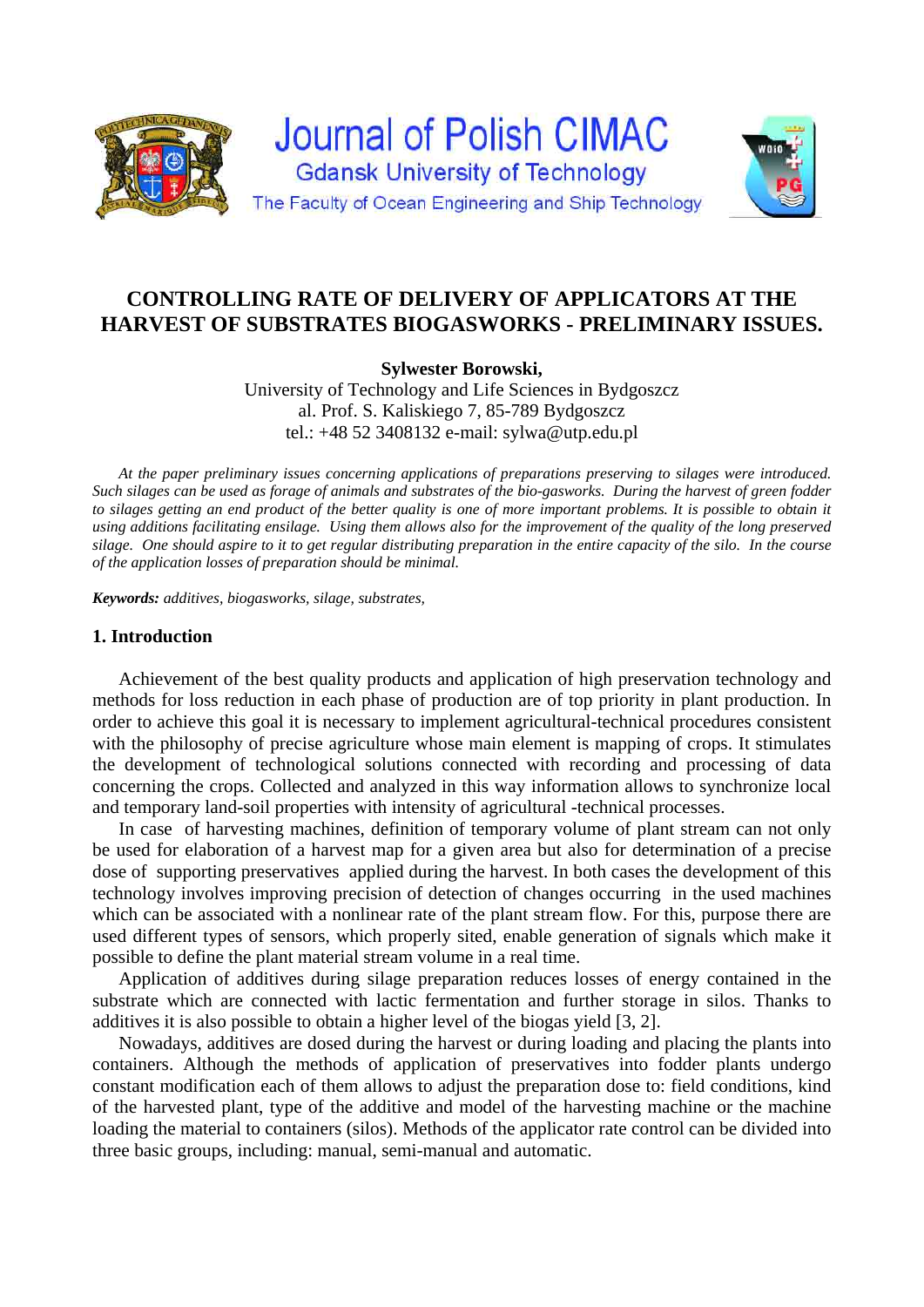

# **CONTROLLING RATE OF DELIVERY OF APPLICATORS AT THE HARVEST OF SUBSTRATES BIOGASWORKS - PRELIMINARY ISSUES.**

# **Sylwester Borowski,**

University of Technology and Life Sciences in Bydgoszcz al. Prof. S. Kaliskiego 7, 85-789 Bydgoszcz tel.: +48 52 3408132 e-mail: sylwa@utp.edu.pl

*At the paper preliminary issues concerning applications of preparations preserving to silages were introduced. Such silages can be used as forage of animals and substrates of the bio-gasworks. During the harvest of green fodder to silages getting an end product of the better quality is one of more important problems. It is possible to obtain it using additions facilitating ensilage. Using them allows also for the improvement of the quality of the long preserved silage. One should aspire to it to get regular distributing preparation in the entire capacity of the silo. In the course of the application losses of preparation should be minimal.* 

*Keywords: additives, biogasworks, silage, substrates,* 

## **1. Introduction**

Achievement of the best quality products and application of high preservation technology and methods for loss reduction in each phase of production are of top priority in plant production. In order to achieve this goal it is necessary to implement agricultural-technical procedures consistent with the philosophy of precise agriculture whose main element is mapping of crops. It stimulates the development of technological solutions connected with recording and processing of data concerning the crops. Collected and analyzed in this way information allows to synchronize local and temporary land-soil properties with intensity of agricultural -technical processes.

In case of harvesting machines, definition of temporary volume of plant stream can not only be used for elaboration of a harvest map for a given area but also for determination of a precise dose of supporting preservatives applied during the harvest. In both cases the development of this technology involves improving precision of detection of changes occurring in the used machines which can be associated with a nonlinear rate of the plant stream flow. For this, purpose there are used different types of sensors, which properly sited, enable generation of signals which make it possible to define the plant material stream volume in a real time.

Application of additives during silage preparation reduces losses of energy contained in the substrate which are connected with lactic fermentation and further storage in silos. Thanks to additives it is also possible to obtain a higher level of the biogas yield [3, 2].

Nowadays, additives are dosed during the harvest or during loading and placing the plants into containers. Although the methods of application of preservatives into fodder plants undergo constant modification each of them allows to adjust the preparation dose to: field conditions, kind of the harvested plant, type of the additive and model of the harvesting machine or the machine loading the material to containers (silos). Methods of the applicator rate control can be divided into three basic groups, including: manual, semi-manual and automatic.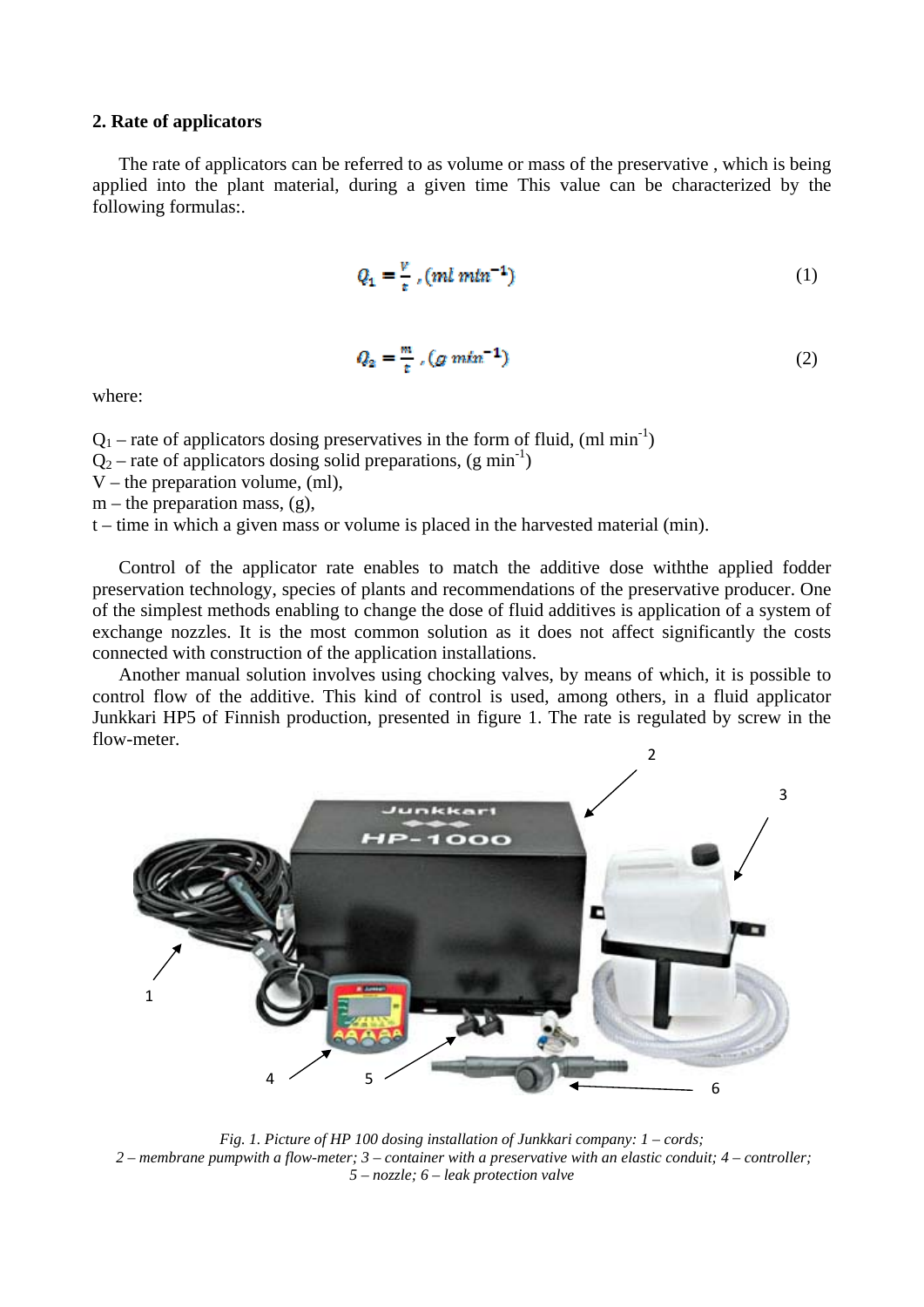#### **2. Rate of applicators**

The rate of applicators can be referred to as volume or mass of the preservative , which is being applied into the plant material, during a given time This value can be characterized by the following formulas:.

$$
Q_1 = \frac{v}{\pi} \cdot (ml \, m l n^{-1}) \tag{1}
$$

$$
Q_2 = \frac{m}{t} \cdot (g \, m \ln^{-1}) \tag{2}
$$

where:

 $Q_1$  – rate of applicators dosing preservatives in the form of fluid, (ml min<sup>-1</sup>)

 $Q_2$  – rate of applicators dosing solid preparations, (g min<sup>-1</sup>)

V – the preparation volume, (ml),

 $m$  – the preparation mass,  $(g)$ ,

t – time in which a given mass or volume is placed in the harvested material (min).

Control of the applicator rate enables to match the additive dose withthe applied fodder preservation technology, species of plants and recommendations of the preservative producer. One of the simplest methods enabling to change the dose of fluid additives is application of a system of exchange nozzles. It is the most common solution as it does not affect significantly the costs connected with construction of the application installations.

Another manual solution involves using chocking valves, by means of which, it is possible to control flow of the additive. This kind of control is used, among others, in a fluid applicator Junkkari HP5 of Finnish production, presented in figure 1. The rate is regulated by screw in the flow-meter.



*Fig. 1. Picture of HP 100 dosing installation of Junkkari company: 1 – cords; 2 – membrane pumpwith a flow-meter; 3 – container with a preservative with an elastic conduit; 4 – controller; 5 – nozzle; 6 – leak protection valve*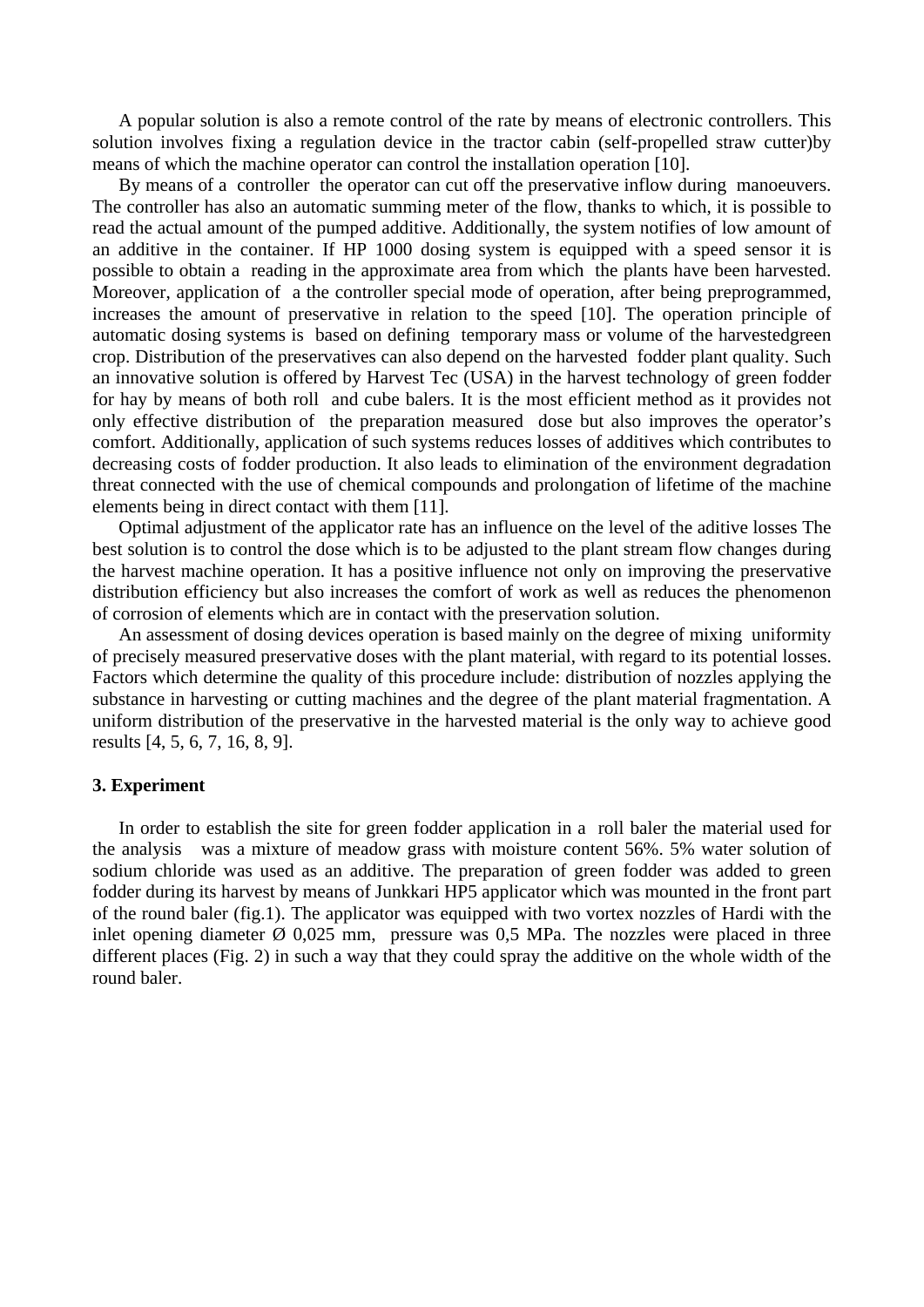A popular solution is also a remote control of the rate by means of electronic controllers. This solution involves fixing a regulation device in the tractor cabin (self-propelled straw cutter)by means of which the machine operator can control the installation operation [10].

By means of a controller the operator can cut off the preservative inflow during manoeuvers. The controller has also an automatic summing meter of the flow, thanks to which, it is possible to read the actual amount of the pumped additive. Additionally, the system notifies of low amount of an additive in the container. If HP 1000 dosing system is equipped with a speed sensor it is possible to obtain a reading in the approximate area from which the plants have been harvested. Moreover, application of a the controller special mode of operation, after being preprogrammed, increases the amount of preservative in relation to the speed [10]. The operation principle of automatic dosing systems is based on defining temporary mass or volume of the harvestedgreen crop. Distribution of the preservatives can also depend on the harvested fodder plant quality. Such an innovative solution is offered by Harvest Tec (USA) in the harvest technology of green fodder for hay by means of both roll and cube balers. It is the most efficient method as it provides not only effective distribution of the preparation measured dose but also improves the operator's comfort. Additionally, application of such systems reduces losses of additives which contributes to decreasing costs of fodder production. It also leads to elimination of the environment degradation threat connected with the use of chemical compounds and prolongation of lifetime of the machine elements being in direct contact with them [11].

Optimal adjustment of the applicator rate has an influence on the level of the aditive losses The best solution is to control the dose which is to be adjusted to the plant stream flow changes during the harvest machine operation. It has a positive influence not only on improving the preservative distribution efficiency but also increases the comfort of work as well as reduces the phenomenon of corrosion of elements which are in contact with the preservation solution.

An assessment of dosing devices operation is based mainly on the degree of mixing uniformity of precisely measured preservative doses with the plant material, with regard to its potential losses. Factors which determine the quality of this procedure include: distribution of nozzles applying the substance in harvesting or cutting machines and the degree of the plant material fragmentation. A uniform distribution of the preservative in the harvested material is the only way to achieve good results [4, 5, 6, 7, 16, 8, 9].

#### **3. Experiment**

In order to establish the site for green fodder application in a roll baler the material used for the analysis was a mixture of meadow grass with moisture content 56%. 5% water solution of sodium chloride was used as an additive. The preparation of green fodder was added to green fodder during its harvest by means of Junkkari HP5 applicator which was mounted in the front part of the round baler (fig.1). The applicator was equipped with two vortex nozzles of Hardi with the inlet opening diameter  $\emptyset$  0,025 mm, pressure was 0,5 MPa. The nozzles were placed in three different places (Fig. 2) in such a way that they could spray the additive on the whole width of the round baler.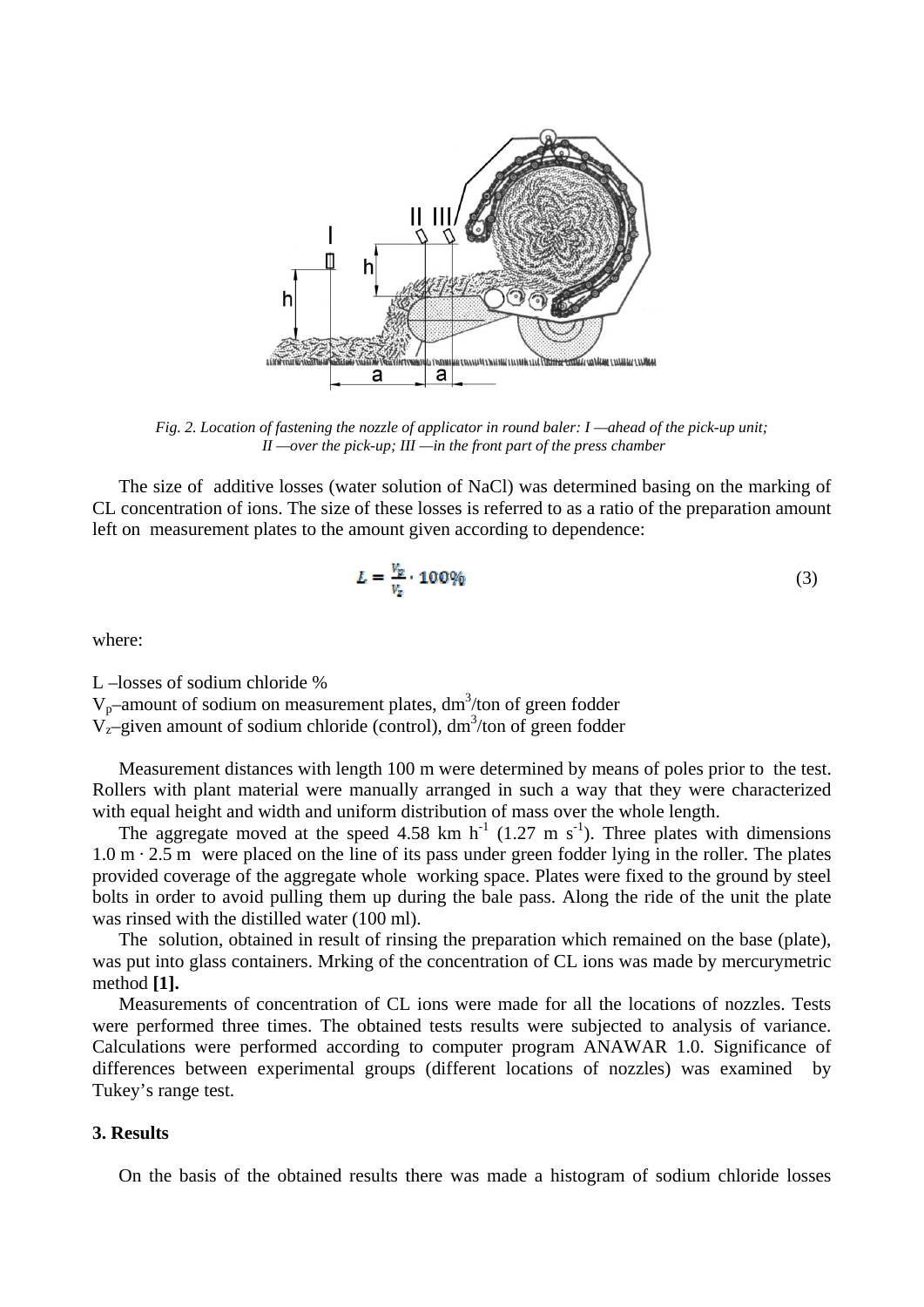

*Fig. 2. Location of fastening the nozzle of applicator in round baler: I —ahead of the pick-up unit; II —over the pick-up; III —in the front part of the press chamber* 

The size of additive losses (water solution of NaCl) was determined basing on the marking of CL concentration of ions. The size of these losses is referred to as a ratio of the preparation amount left on measurement plates to the amount given according to dependence:

$$
L = \frac{V_p}{V_z} \cdot 100\% \tag{3}
$$

where:

L –losses of sodium chloride %  $V_p$ –amount of sodium on measurement plates, dm<sup>3</sup>/ton of green fodder  $V_{z}$ -given amount of sodium chloride (control), dm<sup>3</sup>/ton of green fodder

Measurement distances with length 100 m were determined by means of poles prior to the test. Rollers with plant material were manually arranged in such a way that they were characterized with equal height and width and uniform distribution of mass over the whole length.

The aggregate moved at the speed 4.58 km h<sup>-1</sup> (1.27 m s<sup>-1</sup>). Three plates with dimensions  $1.0 \text{ m} \cdot 2.5 \text{ m}$  were placed on the line of its pass under green fodder lying in the roller. The plates provided coverage of the aggregate whole working space. Plates were fixed to the ground by steel bolts in order to avoid pulling them up during the bale pass. Along the ride of the unit the plate was rinsed with the distilled water (100 ml).

The solution, obtained in result of rinsing the preparation which remained on the base (plate), was put into glass containers. Mrking of the concentration of CL ions was made by mercurymetric method **[1].**

Measurements of concentration of CL ions were made for all the locations of nozzles. Tests were performed three times. The obtained tests results were subjected to analysis of variance. Calculations were performed according to computer program ANAWAR 1.0. Significance of differences between experimental groups (different locations of nozzles) was examined by Tukey's range test.

## **3. Results**

On the basis of the obtained results there was made a histogram of sodium chloride losses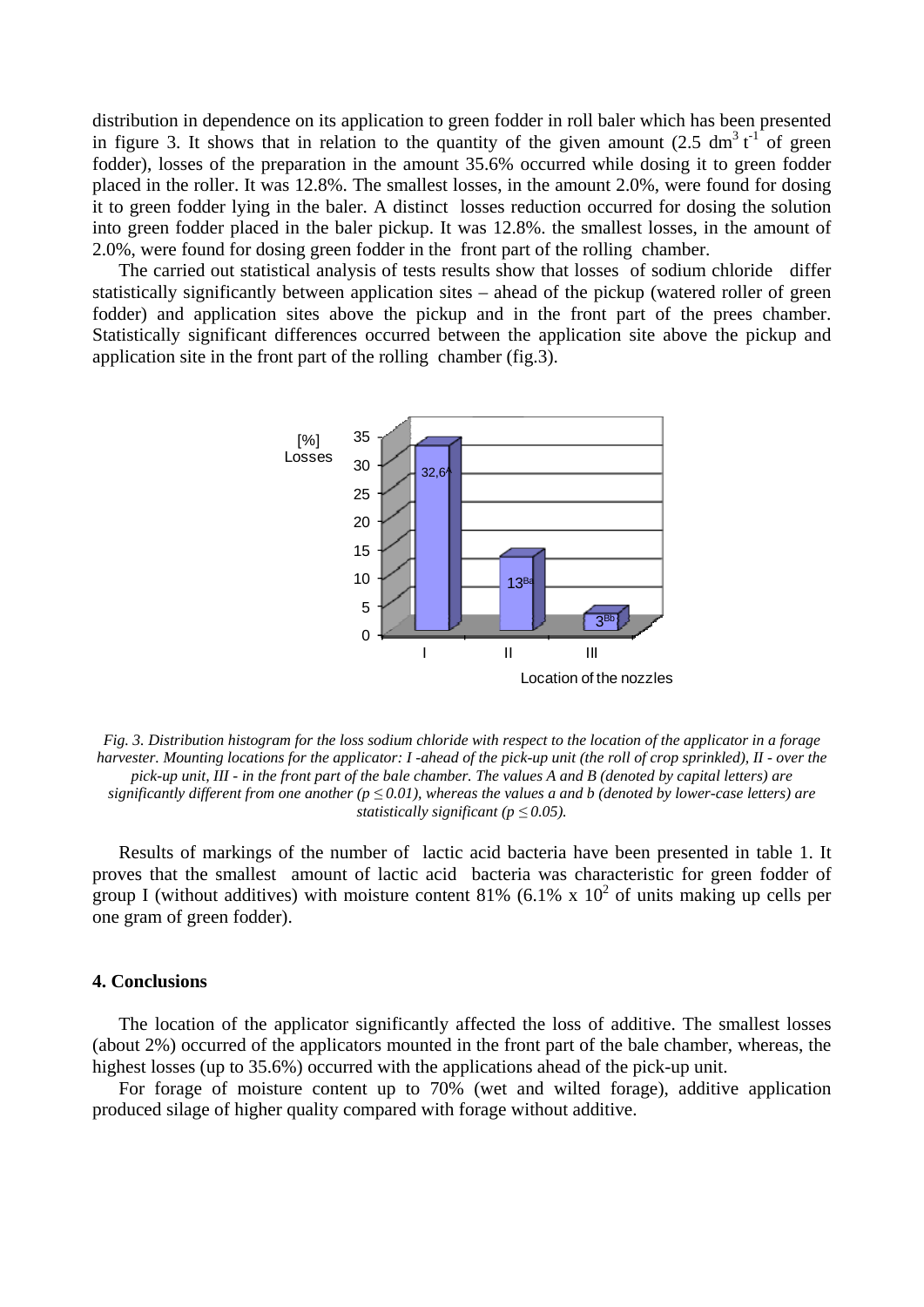distribution in dependence on its application to green fodder in roll baler which has been presented in figure 3. It shows that in relation to the quantity of the given amount  $(2.5 \text{ dm}^3 t^1)$  of green fodder), losses of the preparation in the amount 35.6% occurred while dosing it to green fodder placed in the roller. It was 12.8%. The smallest losses, in the amount 2.0%, were found for dosing it to green fodder lying in the baler. A distinct losses reduction occurred for dosing the solution into green fodder placed in the baler pickup. It was 12.8%. the smallest losses, in the amount of 2.0%, were found for dosing green fodder in the front part of the rolling chamber.

The carried out statistical analysis of tests results show that losses of sodium chloride differ statistically significantly between application sites – ahead of the pickup (watered roller of green fodder) and application sites above the pickup and in the front part of the prees chamber. Statistically significant differences occurred between the application site above the pickup and application site in the front part of the rolling chamber (fig.3).



*Fig. 3. Distribution histogram for the loss sodium chloride with respect to the location of the applicator in a forage harvester. Mounting locations for the applicator: I -ahead of the pick-up unit (the roll of crop sprinkled), II - over the pick-up unit, III - in the front part of the bale chamber. The values A and B (denoted by capital letters) are significantly different from one another (p ≤ 0.01), whereas the values a and b (denoted by lower-case letters) are statistically significant (* $p \leq 0.05$ *).* 

Results of markings of the number of lactic acid bacteria have been presented in table 1. It proves that the smallest amount of lactic acid bacteria was characteristic for green fodder of group I (without additives) with moisture content 81% (6.1% x  $10^2$  of units making up cells per one gram of green fodder).

## **4. Conclusions**

The location of the applicator significantly affected the loss of additive. The smallest losses (about 2%) occurred of the applicators mounted in the front part of the bale chamber, whereas, the highest losses (up to 35.6%) occurred with the applications ahead of the pick-up unit.

For forage of moisture content up to 70% (wet and wilted forage), additive application produced silage of higher quality compared with forage without additive.